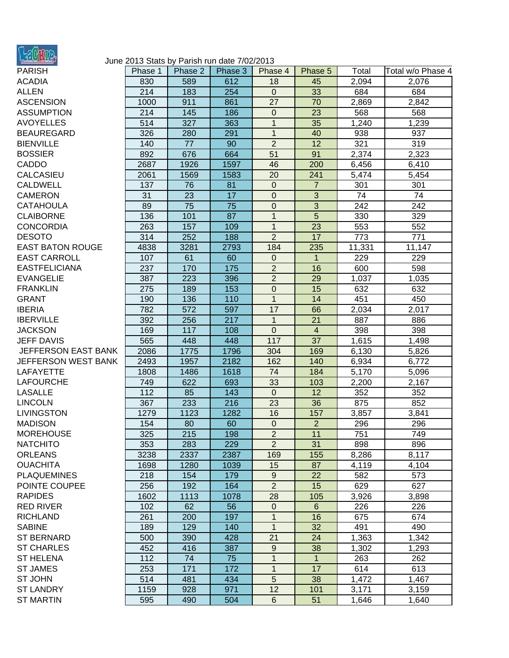

## June 2013 Stats by Parish run date 7/02/2013

| <b>PARISH</b>           | Phase 1 | Phase 2 | Phase 3 | Phase 4          | Phase 5        | Total  | Total w/o Phase 4 |
|-------------------------|---------|---------|---------|------------------|----------------|--------|-------------------|
| <b>ACADIA</b>           | 830     | 589     | 612     | 18               | 45             | 2,094  | 2,076             |
| <b>ALLEN</b>            | 214     | 183     | 254     | $\mathbf 0$      | 33             | 684    | 684               |
| <b>ASCENSION</b>        | 1000    | 911     | 861     | 27               | 70             | 2,869  | 2,842             |
| <b>ASSUMPTION</b>       | 214     | 145     | 186     | $\mathbf 0$      | 23             | 568    | 568               |
| AVOYELLES               | 514     | 327     | 363     | $\mathbf{1}$     | 35             | 1,240  | 1,239             |
| BEAUREGARD              | 326     | 280     | 291     | $\mathbf{1}$     | 40             | 938    | 937               |
| <b>BIENVILLE</b>        | 140     | 77      | 90      | $\overline{2}$   | 12             | 321    | 319               |
| <b>BOSSIER</b>          | 892     | 676     | 664     | 51               | 91             | 2,374  | 2,323             |
| CADDO                   | 2687    | 1926    | 1597    | 46               | 200            | 6,456  | 6,410             |
| <b>CALCASIEU</b>        | 2061    | 1569    | 1583    | 20               | 241            | 5,474  | 5,454             |
| CALDWELL                | 137     | 76      | 81      | $\mathbf 0$      | $\overline{7}$ | 301    | 301               |
| CAMERON                 | 31      | 23      | 17      | 0                | $\overline{3}$ | 74     | 74                |
| CATAHOULA               | 89      | 75      | 75      | 0                | 3              | 242    | 242               |
| <b>CLAIBORNE</b>        | 136     | 101     | 87      | $\overline{1}$   | $\overline{5}$ | 330    | 329               |
| <b>CONCORDIA</b>        | 263     | 157     | 109     | $\mathbf{1}$     | 23             | 553    | 552               |
| <b>DESOTO</b>           | 314     | 252     | 188     | $\overline{2}$   | 17             | 773    | 771               |
| <b>EAST BATON ROUGE</b> | 4838    | 3281    | 2793    | 184              | 235            | 11,331 | 11,147            |
| <b>EAST CARROLL</b>     | 107     | 61      | 60      | 0                | $\mathbf 1$    | 229    | 229               |
| <b>EASTFELICIANA</b>    | 237     | 170     | 175     | $\overline{2}$   | 16             | 600    | 598               |
| EVANGELIE               | 387     | 223     | 396     | $\overline{2}$   | 29             | 1,037  | 1,035             |
| <b>FRANKLIN</b>         | 275     | 189     | 153     | $\pmb{0}$        | 15             | 632    | 632               |
| <b>GRANT</b>            | 190     | 136     | 110     | $\mathbf{1}$     | 14             | 451    | 450               |
| <b>IBERIA</b>           | 782     | 572     | 597     | 17               | 66             | 2,034  | 2,017             |
| <b>IBERVILLE</b>        | 392     | 256     | 217     | $\overline{1}$   | 21             | 887    | 886               |
| <b>JACKSON</b>          | 169     | 117     | 108     | $\overline{0}$   | $\overline{4}$ | 398    | 398               |
| <b>JEFF DAVIS</b>       | 565     | 448     | 448     | 117              | 37             | 1,615  | 1,498             |
| JEFFERSON EAST BANK     | 2086    | 1775    | 1796    | 304              | 169            | 6,130  | 5,826             |
| JEFFERSON WEST BANK     | 2493    | 1957    | 2182    | 162              | 140            | 6,934  | 6,772             |
| LAFAYETTE               | 1808    | 1486    | 1618    | 74               | 184            | 5,170  | 5,096             |
| LAFOURCHE               | 749     | 622     | 693     | 33               | 103            | 2,200  | 2,167             |
| <b>LASALLE</b>          | 112     | 85      | 143     | $\mathbf 0$      | 12             | 352    | 352               |
| LINCOLN                 | 367     | 233     | 216     | 23               | 36             | 875    | 852               |
| <b>LIVINGSTON</b>       | 1279    | 1123    | 1282    | 16               | 157            | 3,857  | 3,841             |
| MADISON                 | 154     | 80      | 60      | $\mathbf{0}$     | $\overline{2}$ | 296    | 296               |
| MOREHOUSE               | 325     | 215     | 198     | $\overline{2}$   | 11             | 751    | 749               |
| NATCHITO                | 353     | 283     | 229     | $\overline{2}$   | 31             | 898    | 896               |
| <b>ORLEANS</b>          | 3238    | 2337    | 2387    | 169              | 155            | 8,286  | 8,117             |
| <b>OUACHITA</b>         | 1698    | 1280    | 1039    | 15               | 87             | 4,119  | 4,104             |
| <b>PLAQUEMINES</b>      | 218     | 154     | 179     | $\boldsymbol{9}$ | 22             | 582    | 573               |
| POINTE COUPEE           | 256     | 192     | 164     | $\overline{2}$   | 15             | 629    | 627               |
| <b>RAPIDES</b>          | 1602    | 1113    | 1078    | 28               | 105            | 3,926  | 3,898             |
| RED RIVER               | 102     | 62      | 56      | $\mathbf 0$      | $6\phantom{1}$ | 226    | 226               |
| RICHLAND                | 261     | 200     | 197     | 1                | 16             | 675    | 674               |
| <b>SABINE</b>           | 189     | 129     | 140     | 1                | 32             | 491    | 490               |
| <b>ST BERNARD</b>       | 500     | 390     | 428     | 21               | 24             | 1,363  | 1,342             |
| <b>ST CHARLES</b>       | 452     | 416     | 387     | $\boldsymbol{9}$ | 38             | 1,302  | 1,293             |
| ST HELENA               | 112     | 74      | 75      | 1                | $\mathbf{1}$   | 263    | 262               |
| <b>ST JAMES</b>         | 253     | 171     | 172     | $\mathbf{1}$     | 17             | 614    | 613               |
| ST JOHN                 | 514     | 481     | 434     | 5                | 38             | 1,472  | 1,467             |
| ST LANDRY               | 1159    | 928     | 971     | 12               | 101            | 3,171  | 3,159             |
| <b>ST MARTIN</b>        | 595     | 490     | 504     | $\,6$            | 51             | 1,646  | 1,640             |
|                         |         |         |         |                  |                |        |                   |